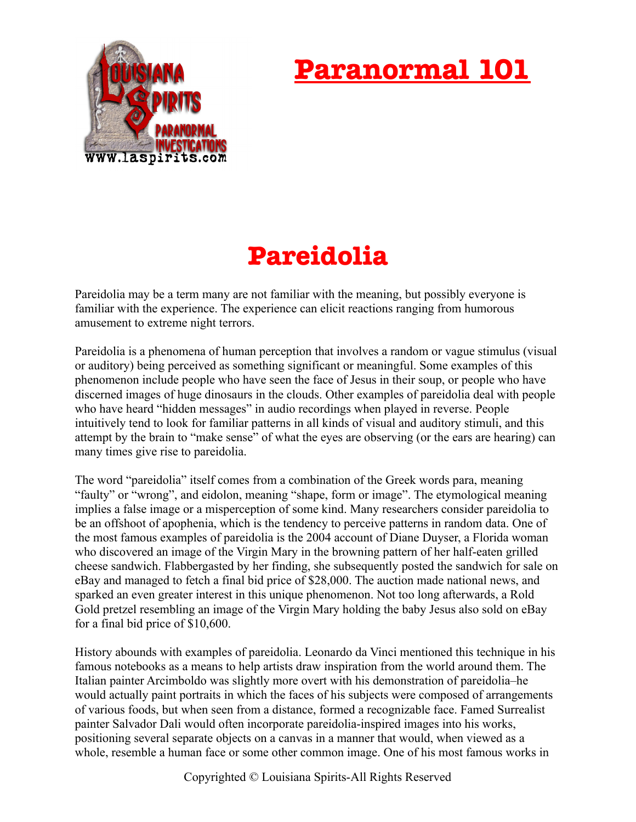## **Paranormal 101**



## **Pareidolia**

Pareidolia may be a term many are not familiar with the meaning, but possibly everyone is familiar with the experience. The experience can elicit reactions ranging from humorous amusement to extreme night terrors.

Pareidolia is a phenomena of human perception that involves a random or vague stimulus (visual or auditory) being perceived as something significant or meaningful. Some examples of this phenomenon include people who have seen the face of Jesus in their soup, or people who have discerned images of huge dinosaurs in the clouds. Other examples of pareidolia deal with people who have heard "hidden messages" in audio recordings when played in reverse. People intuitively tend to look for familiar patterns in all kinds of visual and auditory stimuli, and this attempt by the brain to "make sense" of what the eyes are observing (or the ears are hearing) can many times give rise to pareidolia.

The word "pareidolia" itself comes from a combination of the Greek words para, meaning "faulty" or "wrong", and eidolon, meaning "shape, form or image". The etymological meaning implies a false image or a misperception of some kind. Many researchers consider pareidolia to be an offshoot of apophenia, which is the tendency to perceive patterns in random data. One of the most famous examples of pareidolia is the 2004 account of Diane Duyser, a Florida woman who discovered an image of the Virgin Mary in the browning pattern of her half-eaten grilled cheese sandwich. Flabbergasted by her finding, she subsequently posted the sandwich for sale on eBay and managed to fetch a final bid price of \$28,000. The auction made national news, and sparked an even greater interest in this unique phenomenon. Not too long afterwards, a Rold Gold pretzel resembling an image of the Virgin Mary holding the baby Jesus also sold on eBay for a final bid price of \$10,600.

History abounds with examples of pareidolia. Leonardo da Vinci mentioned this technique in his famous notebooks as a means to help artists draw inspiration from the world around them. The Italian painter Arcimboldo was slightly more overt with his demonstration of pareidolia–he would actually paint portraits in which the faces of his subjects were composed of arrangements of various foods, but when seen from a distance, formed a recognizable face. Famed Surrealist painter Salvador Dali would often incorporate pareidolia-inspired images into his works, positioning several separate objects on a canvas in a manner that would, when viewed as a whole, resemble a human face or some other common image. One of his most famous works in